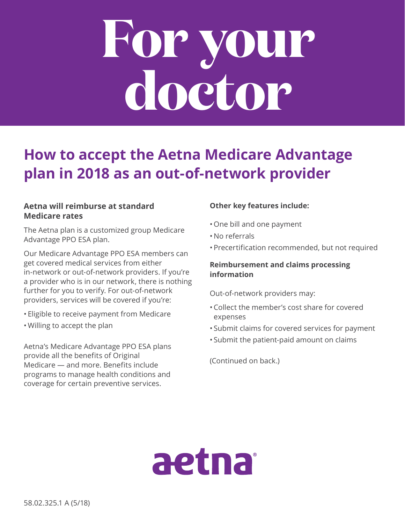# **For your doctor**

# **How to accept the Aetna Medicare Advantage plan in 2018 as an out-of-network provider**

# **Aetna will reimburse at standard Medicare rates**

The Aetna plan is a customized group Medicare Advantage PPO ESA plan.

Our Medicare Advantage PPO ESA members can get covered medical services from either in-network or out-of-network providers. If you're a provider who is in our network, there is nothing further for you to verify. For out-of-network providers, services will be covered if you're:

- Eligible to receive payment from Medicare
- Willing to accept the plan

Aetna's Medicare Advantage PPO ESA plans provide all the benefits of Original Medicare — and more. Benefits include programs to manage health conditions and coverage for certain preventive services.

# **Other key features include:**

- One bill and one payment
- No referrals
- Precertification recommended, but not required

### **Reimbursement and claims processing information**

Out-of-network providers may:

- Collect the member's cost share for covered expenses
- Submit claims for covered services for payment
- Submit the patient-paid amount on claims

(Continued on back.)